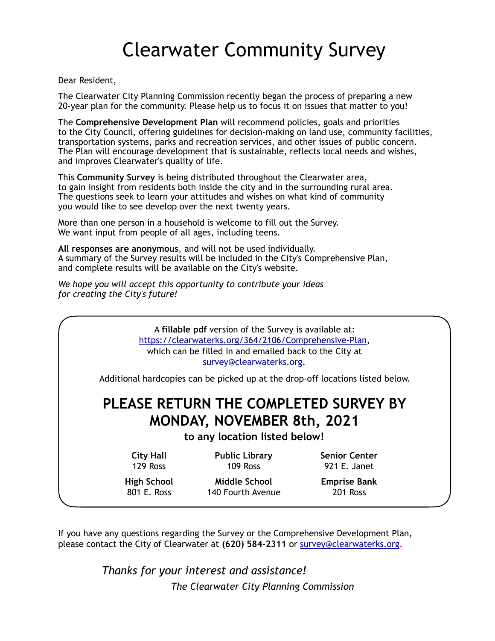# Clearwater Community Survey

Dear Resident,

The Clearwater City Planning Commission recently began the process of preparing a new 20-year plan for the community. Please help us to focus it on issues that matter to you!

The **Comprehensive Development Plan** will recommend policies, goals and priorities to the City Council, offering guidelines for decision-making on land use, community facilities, transportation systems, parks and recreation services, and other issues of public concern. The Plan will encourage development that is sustainable, reflects local needs and wishes, and improves Clearwater's quality of life.

This **Community Survey** is being distributed throughout the Clearwater area, to gain insight from residents both inside the city and in the surrounding rural area. The questions seek to learn your attitudes and wishes on what kind of community you would like to see develop over the next twenty years.

More than one person in a household is welcome to fill out the Survey. We want input from people of all ages, including teens.

**All responses are anonymous**, and will not be used individually. A summary of the Survey results will be included in the City's Comprehensive Plan, and complete results will be available on the City's website.

*We hope you will accept this opportunity to contribute your ideas for creating the City's future!* 

> A **fillable pdf** version of the Survey is available at: [https://clearwaterks.org/364/2106/Comprehensive-Plan,](https://clearwaterks.org/364/2106/Comprehensive-Plan) which can be filled in and emailed back to the City at [survey@clearwaterks.org.](mailto:survey@clearwaterks.org)

Additional hardcopies can be picked up at the drop-off locations listed below.

# **PLEASE RETURN THE COMPLETED SURVEY BY MONDAY, NOVEMBER 8th, 2021**

**to any location listed below!** 

**City Hall Public Library Senior Center** 129 Ross 109 Ross 921 E. Janet

 **High School Middle School Emprise Bank**  801 E. Ross 140 Fourth Avenue 201 Ross

If you have any questions regarding the Survey or the Comprehensive Development Plan, please contact the City of Clearwater at **(620) 584-2311** or [survey@clearwaterks.org](mailto:survey@clearwaterks.org)**.**

> *Thanks for your interest and assistance! The Clearwater City Planning Commission*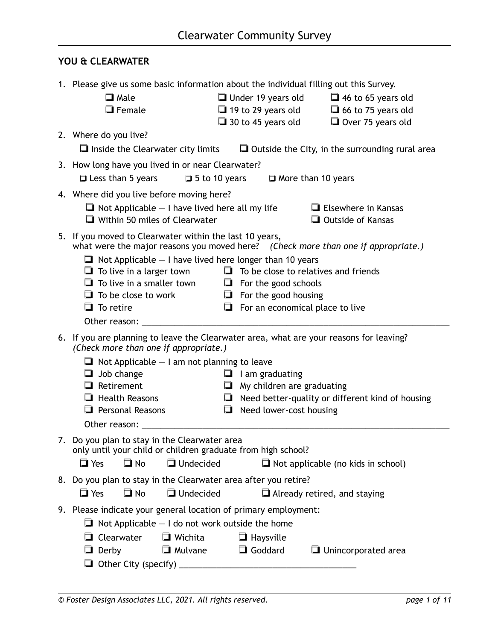## **YOU & CLEARWATER**

| 1. Please give us some basic information about the individual filling out this Survey.                                           |                                                                       |                                                         |
|----------------------------------------------------------------------------------------------------------------------------------|-----------------------------------------------------------------------|---------------------------------------------------------|
| $\Box$ Male                                                                                                                      | $\Box$ Under 19 years old                                             | $\Box$ 46 to 65 years old                               |
| $\Box$ Female                                                                                                                    | $\Box$ 19 to 29 years old                                             | $\Box$ 66 to 75 years old                               |
|                                                                                                                                  | $\Box$ 30 to 45 years old                                             | Over 75 years old                                       |
| 2. Where do you live?                                                                                                            |                                                                       |                                                         |
| $\Box$ Inside the Clearwater city limits                                                                                         |                                                                       | $\Box$ Outside the City, in the surrounding rural area  |
| 3. How long have you lived in or near Clearwater?                                                                                |                                                                       |                                                         |
| $\Box$ Less than 5 years<br>$\Box$ 5 to 10 years                                                                                 |                                                                       | More than 10 years                                      |
| 4. Where did you live before moving here?                                                                                        |                                                                       |                                                         |
| $\Box$ Not Applicable $-$ I have lived here all my life                                                                          |                                                                       | $\Box$ Elsewhere in Kansas                              |
| Within 50 miles of Clearwater                                                                                                    |                                                                       | $\Box$ Outside of Kansas                                |
| 5. If you moved to Clearwater within the last 10 years,                                                                          |                                                                       |                                                         |
| what were the major reasons you moved here? (Check more than one if appropriate.)                                                |                                                                       |                                                         |
| $\Box$ Not Applicable $-$ I have lived here longer than 10 years                                                                 |                                                                       |                                                         |
| $\Box$ To live in a larger town                                                                                                  | $\Box$ To be close to relatives and friends                           |                                                         |
| $\Box$ To live in a smaller town $\Box$ For the good schools                                                                     |                                                                       |                                                         |
| $\Box$ To be close to work<br>$\Box$ To retire                                                                                   | $\Box$ For the good housing<br>$\Box$ For an economical place to live |                                                         |
|                                                                                                                                  |                                                                       |                                                         |
|                                                                                                                                  |                                                                       |                                                         |
| 6. If you are planning to leave the Clearwater area, what are your reasons for leaving?<br>(Check more than one if appropriate.) |                                                                       |                                                         |
| $\Box$ Not Applicable $-$ I am not planning to leave                                                                             |                                                                       |                                                         |
| Job change<br>$\Box$                                                                                                             | $\Box$ I am graduating                                                |                                                         |
| $\Box$ Retirement                                                                                                                | $\Box$ My children are graduating                                     |                                                         |
| $\Box$ Health Reasons                                                                                                            |                                                                       | $\Box$ Need better-quality or different kind of housing |
| $\Box$ Personal Reasons                                                                                                          | $\Box$ Need lower-cost housing                                        |                                                         |
|                                                                                                                                  |                                                                       |                                                         |
| 7. Do you plan to stay in the Clearwater area                                                                                    |                                                                       |                                                         |
| only until your child or children graduate from high school?                                                                     |                                                                       |                                                         |
| $\Box$ Yes<br>$\Box$ No<br>Undecided                                                                                             |                                                                       | $\Box$ Not applicable (no kids in school)               |
| 8. Do you plan to stay in the Clearwater area after you retire?                                                                  |                                                                       |                                                         |
| $\Box$ Yes<br>$\Box$ No<br><b>J</b> Undecided                                                                                    |                                                                       | Already retired, and staying                            |
| 9. Please indicate your general location of primary employment:                                                                  |                                                                       |                                                         |
| $\Box$ Not Applicable $-$ I do not work outside the home                                                                         |                                                                       |                                                         |
| $\Box$ Wichita<br>Clearwater<br>$\Box$                                                                                           | $\Box$ Haysville                                                      |                                                         |
| Mulvane<br>Derby                                                                                                                 | Goddard                                                               | $\Box$ Unincorporated area                              |
|                                                                                                                                  |                                                                       |                                                         |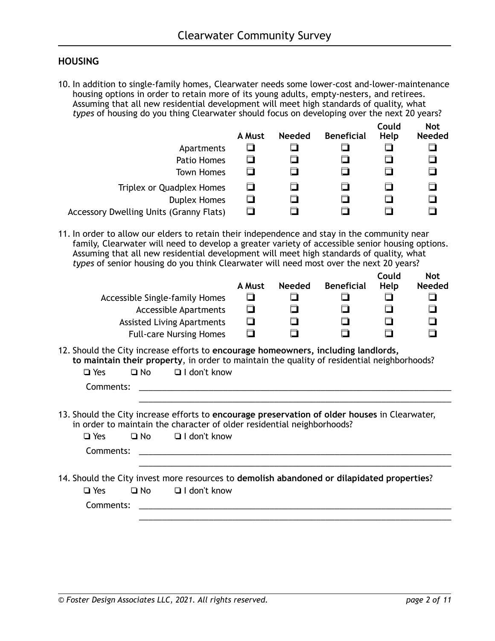### **HOUSING**

10. In addition to single-family homes, Clearwater needs some lower-cost and-lower-maintenance housing options in order to retain more of its young adults, empty-nesters, and retirees. Assuming that all new residential development will meet high standards of quality, what *types* of housing do you thing Clearwater should focus on developing over the next 20 years?

|                                                | A Must | <b>Needed</b> | <b>Beneficial</b> | Could<br>Help | <b>Not</b><br><b>Needed</b> |
|------------------------------------------------|--------|---------------|-------------------|---------------|-----------------------------|
| Apartments                                     | 口      |               |                   |               | ◘                           |
| Patio Homes                                    | □      |               |                   |               | $\Box$                      |
| <b>Town Homes</b>                              | □      |               |                   |               | $\Box$                      |
| Triplex or Quadplex Homes                      | $\Box$ |               |                   |               | $\Box$                      |
| <b>Duplex Homes</b>                            | ◘      |               |                   |               | $\Box$                      |
| <b>Accessory Dwelling Units (Granny Flats)</b> |        |               |                   |               |                             |

11. In order to allow our elders to retain their independence and stay in the community near family, Clearwater will need to develop a greater variety of accessible senior housing options. Assuming that all new residential development will meet high standards of quality, what *types* of senior housing do you think Clearwater will need most over the next 20 years?

| Accessible Single-family Homes<br><b>Accessible Apartments</b><br><b>Assisted Living Apartments</b><br><b>Full-care Nursing Homes</b>                                                                                                     | A Must<br>◘<br>$\Box$<br>$\Box$<br>$\Box$ | <b>Needed</b><br>❏<br>□ | <b>Beneficial</b> | Could<br>Help<br>$\Box$<br>0<br>$\Box$<br>n | <b>Not</b><br><b>Needed</b><br>⊓<br>口<br>◘ |
|-------------------------------------------------------------------------------------------------------------------------------------------------------------------------------------------------------------------------------------------|-------------------------------------------|-------------------------|-------------------|---------------------------------------------|--------------------------------------------|
| 12. Should the City increase efforts to encourage homeowners, including landlords,<br>to maintain their property, in order to maintain the quality of residential neighborhoods?<br>$\Box$ I don't know<br>$\square$ Yes<br>∩ No          |                                           |                         |                   |                                             |                                            |
| Comments:                                                                                                                                                                                                                                 |                                           |                         |                   |                                             |                                            |
| 13. Should the City increase efforts to encourage preservation of older houses in Clearwater,<br>in order to maintain the character of older residential neighborhoods?<br>$\Box$ I don't know<br>$\Box$ Yes<br>$\square$ No<br>Comments: |                                           |                         |                   |                                             |                                            |
|                                                                                                                                                                                                                                           |                                           |                         |                   |                                             |                                            |
| 14. Should the City invest more resources to demolish abandoned or dilapidated properties?<br>$\Box$ I don't know<br>$\Box$ Yes<br>□ No                                                                                                   |                                           |                         |                   |                                             |                                            |

\_\_\_\_\_\_\_\_\_\_\_\_\_\_\_\_\_\_\_\_\_\_\_\_\_\_\_\_\_\_\_\_\_\_\_\_\_\_\_\_\_\_\_\_\_\_\_\_\_\_\_\_\_\_\_\_\_\_\_\_\_\_\_\_\_\_\_

Comments: \_\_\_\_\_\_\_\_\_\_\_\_\_\_\_\_\_\_\_\_\_\_\_\_\_\_\_\_\_\_\_\_\_\_\_\_\_\_\_\_\_\_\_\_\_\_\_\_\_\_\_\_\_\_\_\_\_\_\_\_\_\_\_\_\_\_\_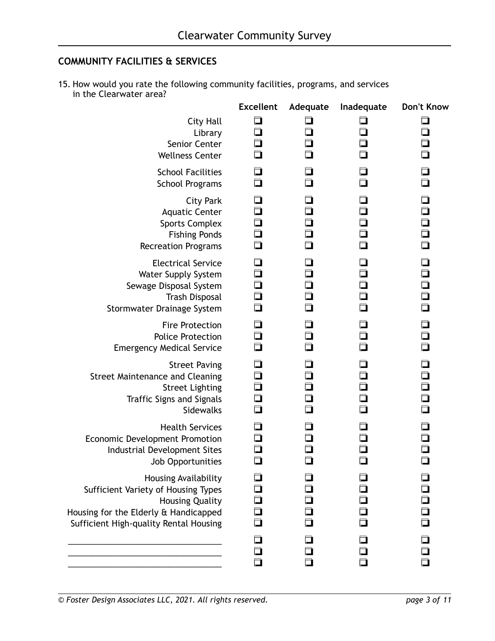# **COMMUNITY FACILITIES & SERVICES**

15. How would you rate the following community facilities, programs, and services in the Clearwater area?

|                                                                                                                                                                                 | <b>Excellent</b>                     | Adequate                   | Inadequate                           | Don't Know                                         |
|---------------------------------------------------------------------------------------------------------------------------------------------------------------------------------|--------------------------------------|----------------------------|--------------------------------------|----------------------------------------------------|
| <b>City Hall</b><br>Library<br>Senior Center<br><b>Wellness Center</b>                                                                                                          | $\Box$<br>$\Box$<br>$\Box$           | コ                          | ◘<br>◘                               | $\Box$<br>$\Box$                                   |
| <b>School Facilities</b><br><b>School Programs</b>                                                                                                                              | 口<br>口                               | $\Box$                     |                                      | ◘                                                  |
| <b>City Park</b><br><b>Aquatic Center</b><br><b>Sports Complex</b><br><b>Fishing Ponds</b><br><b>Recreation Programs</b>                                                        | 口<br>0<br>$\Box$<br>$\Box$<br>□      | $\Box$<br>$\Box$           | $\Box$<br>$\Box$                     | $\Box$<br>$\Box$<br>0<br>0<br>0                    |
| <b>Electrical Service</b><br>Water Supply System<br>Sewage Disposal System<br><b>Trash Disposal</b><br>Stormwater Drainage System                                               | 口<br>$\Box$<br>$\Box$<br>$\Box$<br>口 | $\Box$<br>$\Box$           | $\Box$<br>$\Box$<br>$\Box$<br>$\Box$ | $\Box$<br>0<br>0<br>0<br>0<br>$\Box$               |
| <b>Fire Protection</b><br><b>Police Protection</b><br><b>Emergency Medical Service</b>                                                                                          | 口<br>◘<br>□                          | □                          |                                      | $\Box$<br>$\Box$                                   |
| <b>Street Paving</b><br><b>Street Maintenance and Cleaning</b><br><b>Street Lighting</b><br><b>Traffic Signs and Signals</b><br>Sidewalks                                       | 口<br>$\Box$<br>$\Box$<br>Ō           | $\Box$<br>$\Box$<br>$\Box$ | $\Box$<br>ם<br>ם                     | $\Box$<br>$\Box$<br>$\Box$<br>$\Box$               |
| <b>Health Services</b><br>Economic Development Promotion<br>Industrial Development Sites<br>Job Opportunities                                                                   | $\Box$                               |                            |                                      | $\Box$                                             |
| <b>Housing Availability</b><br>Sufficient Variety of Housing Types<br><b>Housing Quality</b><br>Housing for the Elderly & Handicapped<br>Sufficient High-quality Rental Housing | $\Box$<br>□<br>口<br>$\Box$           |                            |                                      | $\Box$<br>$\Box$<br>$\overline{\square}$<br>$\Box$ |
|                                                                                                                                                                                 | ◘<br>口<br>$\Box$                     |                            | □                                    | $\Box$<br>$\Box$                                   |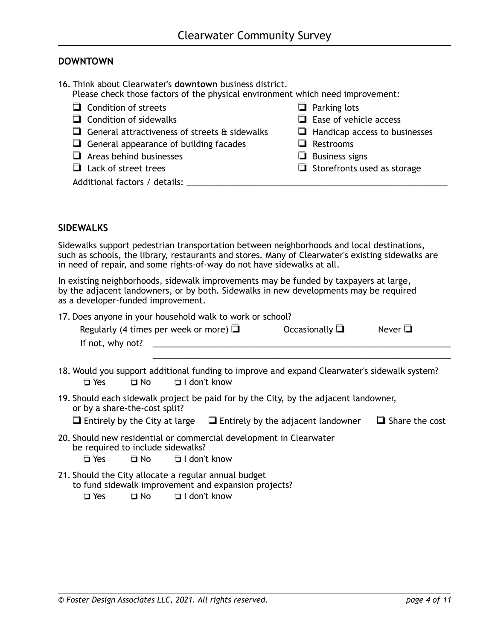#### **DOWNTOWN**

| 16. Think about Clearwater's downtown business district.<br>Please check those factors of the physical environment which need improvement: |                                      |
|--------------------------------------------------------------------------------------------------------------------------------------------|--------------------------------------|
| $\Box$ Condition of streets                                                                                                                | $\Box$ Parking lots                  |
| $\Box$ Condition of sidewalks                                                                                                              | $\Box$ Ease of vehicle access        |
| General attractiveness of streets $\hat{a}$ sidewalks                                                                                      | $\Box$ Handicap access to businesses |
| $\Box$ General appearance of building facades                                                                                              | $\Box$ Restrooms                     |
| $\Box$ Areas behind businesses                                                                                                             | $\Box$ Business signs                |
| $\Box$ Lack of street trees                                                                                                                | $\Box$ Storefronts used as storage   |
| Additional factors / details:                                                                                                              |                                      |

#### **SIDEWALKS**

Sidewalks support pedestrian transportation between neighborhoods and local destinations, such as schools, the library, restaurants and stores. Many of Clearwater's existing sidewalks are in need of repair, and some rights-of-way do not have sidewalks at all.

In existing neighborhoods, sidewalk improvements may be funded by taxpayers at large, by the adjacent landowners, or by both. Sidewalks in new developments may be required as a developer-funded improvement.

| 17. Does anyone in your household walk to work or school? |                                             |                        |              |  |  |  |
|-----------------------------------------------------------|---------------------------------------------|------------------------|--------------|--|--|--|
|                                                           | Regularly (4 times per week or more) $\Box$ | Occasionally $\square$ | Never $\Box$ |  |  |  |
| If not, why not?                                          |                                             |                        |              |  |  |  |
|                                                           |                                             |                        |              |  |  |  |

- 18. Would you support additional funding to improve and expand Clearwater's sidewalk system? ❏ Yes ❏ No ❏ I don't know
- 19. Should each sidewalk project be paid for by the City, by the adjacent landowner, or by a share-the-cost split?
	- ❏ Entirely by the City at large ❏ Entirely by the adjacent landowner ❏ Share the cost
- 20. Should new residential or commercial development in Clearwater be required to include sidewalks?
	- ❏ Yes ❏ No ❏ I don't know
- 21. Should the City allocate a regular annual budget to fund sidewalk improvement and expansion projects?

❏ Yes ❏ No ❏ I don't know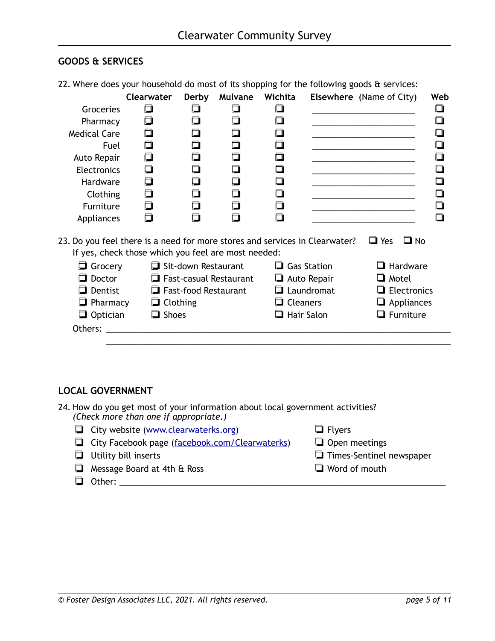### **GOODS & SERVICES**

| 22. Where does your household do most of its shopping for the following goods & services: |                                                     |                             |                        |                   |                    |                                 |                    |
|-------------------------------------------------------------------------------------------|-----------------------------------------------------|-----------------------------|------------------------|-------------------|--------------------|---------------------------------|--------------------|
|                                                                                           | Clearwater                                          | Derby                       |                        | Mulvane Wichita   |                    | <b>Elsewhere</b> (Name of City) | Web                |
| Groceries                                                                                 | О                                                   |                             |                        | n                 |                    |                                 |                    |
| Pharmacy                                                                                  | $\Box$                                              |                             |                        |                   |                    |                                 |                    |
| <b>Medical Care</b>                                                                       | $\Box$                                              |                             |                        |                   |                    |                                 |                    |
| Fuel                                                                                      | $\Box$                                              |                             | n                      |                   |                    |                                 |                    |
| Auto Repair                                                                               | $\Box$                                              |                             |                        |                   |                    |                                 |                    |
| <b>Electronics</b>                                                                        | ◘                                                   | m                           |                        | $\Box$            |                    |                                 |                    |
| Hardware                                                                                  | $\Box$                                              | ⊓                           | ⊓                      |                   |                    |                                 |                    |
| Clothing                                                                                  | $\Box$                                              |                             |                        |                   |                    |                                 |                    |
| Furniture                                                                                 | ◘                                                   |                             |                        |                   |                    |                                 |                    |
| Appliances                                                                                | □                                                   | m                           |                        |                   |                    |                                 |                    |
| 23. Do you feel there is a need for more stores and services in Clearwater?               |                                                     |                             |                        |                   |                    | $\Box$ Yes                      | $\Box$ No          |
|                                                                                           | If yes, check those which you feel are most needed: |                             |                        |                   |                    |                                 |                    |
| Grocery                                                                                   |                                                     | Sit-down Restaurant         |                        |                   | $\Box$ Gas Station | $\Box$ Hardware                 |                    |
| $\Box$ Doctor                                                                             |                                                     |                             | Fast-casual Restaurant |                   | $\Box$ Auto Repair |                                 | <b>□</b> Motel     |
| $\Box$ Dentist                                                                            |                                                     | $\Box$ Fast-food Restaurant |                        |                   | $\Box$ Laundromat  |                                 | $\Box$ Electronics |
| $\Box$ Pharmacy                                                                           | $\Box$ Clothing                                     |                             |                        | $\Box$ Cleaners   |                    | $\Box$ Appliances               |                    |
| $\Box$ Optician                                                                           | $\Box$ Shoes                                        |                             |                        | $\Box$ Hair Salon |                    | $\Box$ Furniture                |                    |
| Others:                                                                                   |                                                     |                             |                        |                   |                    |                                 |                    |
|                                                                                           |                                                     |                             |                        |                   |                    |                                 |                    |

#### **LOCAL GOVERNMENT**

- 24. How do you get most of your information about local government activities? *(Check more than one if appropriate.)*
	- ❏ City website ([www.clearwaterks.org](http://www.clearwaterks.org)) ❏ Flyers
	- ❏ City Facebook page ([facebook.com/Clearwaterks](http://facebook.com/Clearwaterks)) ❏ Open meetings
	-
	- ❏ Message Board at 4th & Ross ❏ Word of mouth
	- ❏ Other: \_\_\_\_\_\_\_\_\_\_\_\_\_\_\_\_\_\_\_\_\_\_\_\_\_\_\_\_\_\_\_\_\_\_\_\_\_\_\_\_\_\_\_\_\_\_\_\_\_\_\_\_\_\_\_\_\_\_\_\_\_\_\_\_\_\_\_\_\_\_
- 
- 
- ❏ Utility bill inserts ❏ Times-Sentinel newspaper
	-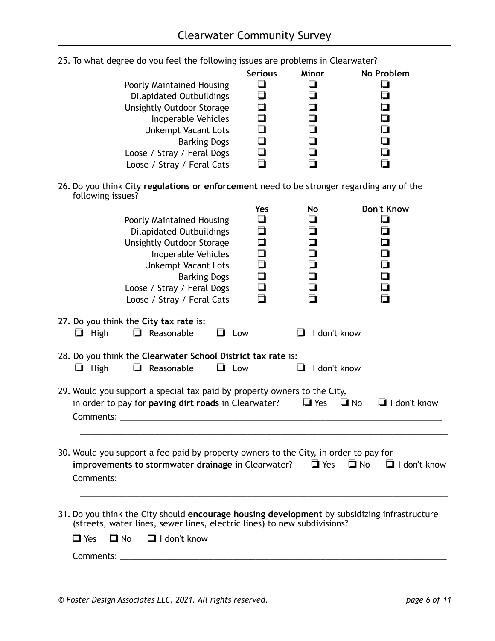|                                  | <b>Serious</b> | Minor | No Problem |
|----------------------------------|----------------|-------|------------|
| Poorly Maintained Housing        |                |       |            |
| <b>Dilapidated Outbuildings</b>  |                |       |            |
| <b>Unsightly Outdoor Storage</b> |                |       |            |
| Inoperable Vehicles              |                |       |            |
| <b>Unkempt Vacant Lots</b>       |                |       |            |
| <b>Barking Dogs</b>              |                |       |            |
| Loose / Stray / Feral Dogs       |                |       |            |
| Loose / Stray / Feral Cats       |                |       |            |
|                                  |                |       |            |

25. To what degree do you feel the following issues are problems in Clearwater?

26. Do you think City **regulations or enforcement** need to be stronger regarding any of the following issues?

| Yes<br>$\Box$<br><b>Poorly Maintained Housing</b><br>$\Box$<br><b>Dilapidated Outbuildings</b><br>$\Box$<br><b>Unsightly Outdoor Storage</b><br>ב<br>Inoperable Vehicles<br>Ē<br><b>Unkempt Vacant Lots</b><br>◘<br><b>Barking Dogs</b><br>$\Box$<br>Loose / Stray / Feral Dogs<br>$\Box$<br>Loose / Stray / Feral Cats | <b>Don't Know</b><br>No<br>П<br>□<br>□<br>0 |
|-------------------------------------------------------------------------------------------------------------------------------------------------------------------------------------------------------------------------------------------------------------------------------------------------------------------------|---------------------------------------------|
| 27. Do you think the City tax rate is:<br>$\Box$ High<br>$\Box$ Reasonable<br>$\Box$ Low                                                                                                                                                                                                                                | $\Box$ I don't know                         |
| 28. Do you think the Clearwater School District tax rate is:<br>$\Box$ High<br>$\Box$ Reasonable<br>$\Box$ Low                                                                                                                                                                                                          | $\Box$ I don't know                         |
| 29. Would you support a special tax paid by property owners to the City,<br>in order to pay for <b>paving dirt roads</b> in Clearwater? $\Box$ Yes                                                                                                                                                                      | $\Box$ No<br>$\Box$ I don't know            |
| 30. Would you support a fee paid by property owners to the City, in order to pay for<br>improvements to stormwater drainage in Clearwater? $\Box$ Yes $\Box$ No $\Box$ I don't know                                                                                                                                     |                                             |
| 31. Do you think the City should encourage housing development by subsidizing infrastructure<br>(streets, water lines, sewer lines, electric lines) to new subdivisions?<br>$\Box$ I don't know<br>$\Box$ Yes<br>$\Box$ No                                                                                              |                                             |
| <b>Comments:</b> Comments:                                                                                                                                                                                                                                                                                              |                                             |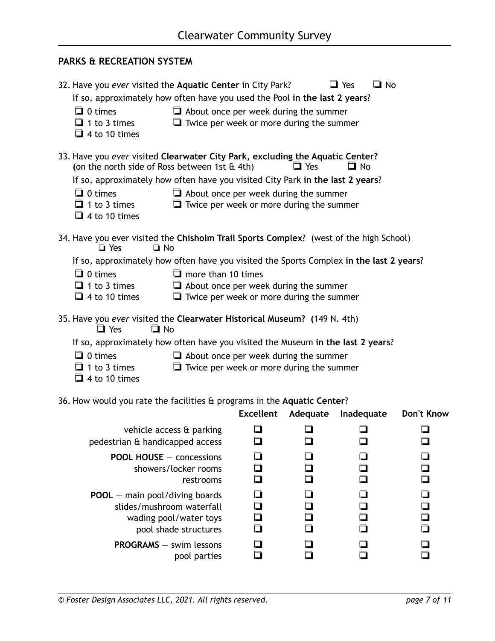#### **PARKS & RECREATION SYSTEM**

| If so, approximately how often have you used the Pool in the last 2 years?                               | $\Box$ No                                                                                                                                                                                                                                                                                                                                                                                       |
|----------------------------------------------------------------------------------------------------------|-------------------------------------------------------------------------------------------------------------------------------------------------------------------------------------------------------------------------------------------------------------------------------------------------------------------------------------------------------------------------------------------------|
| $\Box$ About once per week during the summer                                                             |                                                                                                                                                                                                                                                                                                                                                                                                 |
|                                                                                                          |                                                                                                                                                                                                                                                                                                                                                                                                 |
|                                                                                                          |                                                                                                                                                                                                                                                                                                                                                                                                 |
| 33. Have you ever visited Clearwater City Park, excluding the Aquatic Center?<br>$\Box$ Yes<br>$\Box$ No |                                                                                                                                                                                                                                                                                                                                                                                                 |
|                                                                                                          |                                                                                                                                                                                                                                                                                                                                                                                                 |
|                                                                                                          |                                                                                                                                                                                                                                                                                                                                                                                                 |
| $\Box$ Twice per week or more during the summer                                                          |                                                                                                                                                                                                                                                                                                                                                                                                 |
|                                                                                                          |                                                                                                                                                                                                                                                                                                                                                                                                 |
| 34. Have you ever visited the Chisholm Trail Sports Complex? (west of the high School)                   |                                                                                                                                                                                                                                                                                                                                                                                                 |
|                                                                                                          | If so, approximately how often have you visited the Sports Complex in the last 2 years?                                                                                                                                                                                                                                                                                                         |
|                                                                                                          |                                                                                                                                                                                                                                                                                                                                                                                                 |
| $\Box$ About once per week during the summer                                                             |                                                                                                                                                                                                                                                                                                                                                                                                 |
|                                                                                                          |                                                                                                                                                                                                                                                                                                                                                                                                 |
| 35. Have you ever visited the Clearwater Historical Museum? (149 N. 4th)                                 |                                                                                                                                                                                                                                                                                                                                                                                                 |
| If so, approximately how often have you visited the Museum in the last 2 years?                          |                                                                                                                                                                                                                                                                                                                                                                                                 |
| $\Box$ About once per week during the summer                                                             |                                                                                                                                                                                                                                                                                                                                                                                                 |
| $\Box$ Twice per week or more during the summer                                                          |                                                                                                                                                                                                                                                                                                                                                                                                 |
|                                                                                                          |                                                                                                                                                                                                                                                                                                                                                                                                 |
|                                                                                                          |                                                                                                                                                                                                                                                                                                                                                                                                 |
|                                                                                                          | Don't Know                                                                                                                                                                                                                                                                                                                                                                                      |
|                                                                                                          |                                                                                                                                                                                                                                                                                                                                                                                                 |
|                                                                                                          |                                                                                                                                                                                                                                                                                                                                                                                                 |
|                                                                                                          |                                                                                                                                                                                                                                                                                                                                                                                                 |
|                                                                                                          | ┓<br>$\Box$<br>$\Box$                                                                                                                                                                                                                                                                                                                                                                           |
|                                                                                                          |                                                                                                                                                                                                                                                                                                                                                                                                 |
|                                                                                                          | $\Box$ Yes<br>$\Box$ Twice per week or more during the summer<br>If so, approximately how often have you visited City Park in the last 2 years?<br>$\Box$ About once per week during the summer<br>$\Box$ Twice per week or more during the summer<br>36. How would you rate the facilities & programs in the Aquatic Center?<br>Adequate<br>Inadequate<br>n<br>$\Box$<br>n<br>$\Box$<br>$\Box$ |

restrooms ❏ ❏ ❏ ❏

**POOL** — main pool/diving boards ❏ ❏ ❏ ❏

 slides/mushroom waterfall ❏ ❏ ❏ ❏ wading pool/water toys ❏ ❏ ❏ ❏

**PROGRAMS** — swim lessons ❏ ❏ ❏ ❏

pool shade structures

pool parties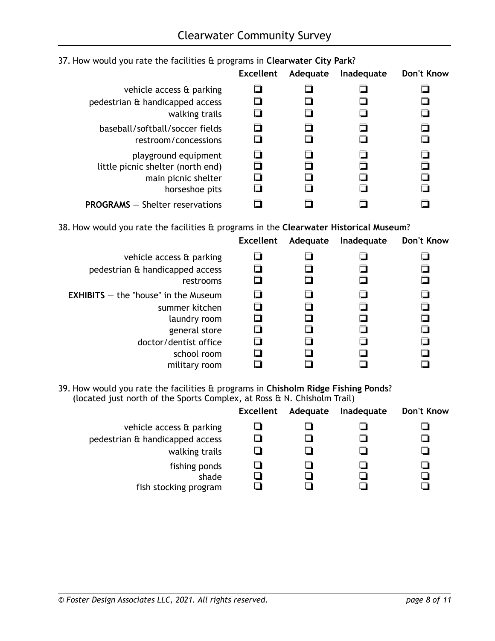|                                        |                                                               | <b>Excellent</b> | Adequate | Inadequate | Don't Know |
|----------------------------------------|---------------------------------------------------------------|------------------|----------|------------|------------|
|                                        | vehicle access & parking                                      |                  |          |            |            |
| pedestrian & handicapped access        | walking trails                                                |                  |          |            |            |
| baseball/softball/soccer fields        | restroom/concessions                                          |                  |          |            |            |
| little picnic shelter (north end)      | playground equipment<br>main picnic shelter<br>horseshoe pits |                  |          |            |            |
| <b>PROGRAMS</b> - Shelter reservations |                                                               |                  |          |            |            |

#### 37. How would you rate the facilities & programs in **Clearwater City Park**?

38. How would you rate the facilities & programs in the **Clearwater Historical Museum**?

|                                               | <b>Excellent</b> | Adequate | Inadequate | <b>Don't Know</b> |
|-----------------------------------------------|------------------|----------|------------|-------------------|
| vehicle access & parking                      |                  |          |            |                   |
| pedestrian & handicapped access               |                  |          |            |                   |
| restrooms                                     |                  |          |            |                   |
| <b>EXHIBITS</b> $-$ the "house" in the Museum |                  |          |            |                   |
| summer kitchen                                |                  |          |            |                   |
| laundry room                                  |                  |          |            |                   |
| general store                                 |                  |          |            |                   |
| doctor/dentist office                         |                  |          |            |                   |
| school room                                   |                  |          |            |                   |
| military room                                 |                  |          |            |                   |

39. How would you rate the facilities & programs in **Chisholm Ridge Fishing Ponds**? (located just north of the Sports Complex, at Ross & N. Chisholm Trail)

|                                                 | Excellent | Adequate | Inadequate | Don't Know |
|-------------------------------------------------|-----------|----------|------------|------------|
| vehicle access & parking                        |           |          |            |            |
| pedestrian & handicapped access                 |           |          |            |            |
| walking trails                                  |           |          |            |            |
| fishing ponds<br>shade<br>fish stocking program |           |          |            |            |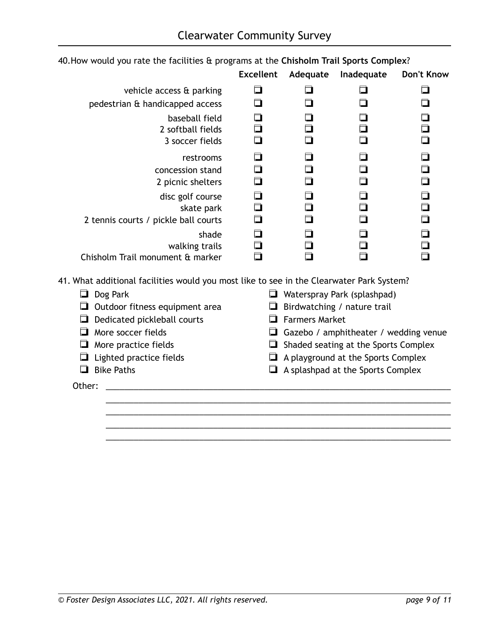|                                      | <b>Excellent</b> | Adequate | Inadequate | Don't Know |
|--------------------------------------|------------------|----------|------------|------------|
| vehicle access & parking             |                  |          |            |            |
| pedestrian & handicapped access      |                  |          |            |            |
| baseball field                       |                  |          |            |            |
| 2 softball fields                    |                  |          |            |            |
| 3 soccer fields                      |                  |          |            |            |
| restrooms                            |                  |          |            |            |
| concession stand                     |                  |          |            |            |
| 2 picnic shelters                    |                  |          |            |            |
| disc golf course                     |                  |          |            |            |
| skate park                           |                  |          |            |            |
| 2 tennis courts / pickle ball courts |                  |          |            |            |
| shade                                |                  |          |            |            |
| walking trails                       |                  |          |            |            |
| Chisholm Trail monument & marker     |                  |          |            |            |

# 40. How would you rate the facilities & programs at the **Chisholm Trail Sports Complex**?

41. What additional facilities would you most like to see in the Clearwater Park System?

| Dog Park                              | Waterspray Park (splashpad)                  |
|---------------------------------------|----------------------------------------------|
| $\Box$ Outdoor fitness equipment area | $\Box$ Birdwatching / nature trail           |
| $\Box$ Dedicated pickleball courts    | $\Box$ Farmers Market                        |
| More soccer fields                    | $\Box$ Gazebo / amphitheater / wedding venue |
| $\Box$ More practice fields           | $\Box$ Shaded seating at the Sports Complex  |
| $\Box$ Lighted practice fields        | A playground at the Sports Complex           |
| <b>Bike Paths</b>                     | $\Box$ A splashpad at the Sports Complex     |
| Other:                                |                                              |
|                                       |                                              |
|                                       |                                              |

 \_\_\_\_\_\_\_\_\_\_\_\_\_\_\_\_\_\_\_\_\_\_\_\_\_\_\_\_\_\_\_\_\_\_\_\_\_\_\_\_\_\_\_\_\_\_\_\_\_\_\_\_\_\_\_\_\_\_\_\_\_\_\_\_\_\_\_\_\_\_\_\_\_\_ \_\_\_\_\_\_\_\_\_\_\_\_\_\_\_\_\_\_\_\_\_\_\_\_\_\_\_\_\_\_\_\_\_\_\_\_\_\_\_\_\_\_\_\_\_\_\_\_\_\_\_\_\_\_\_\_\_\_\_\_\_\_\_\_\_\_\_\_\_\_\_\_\_\_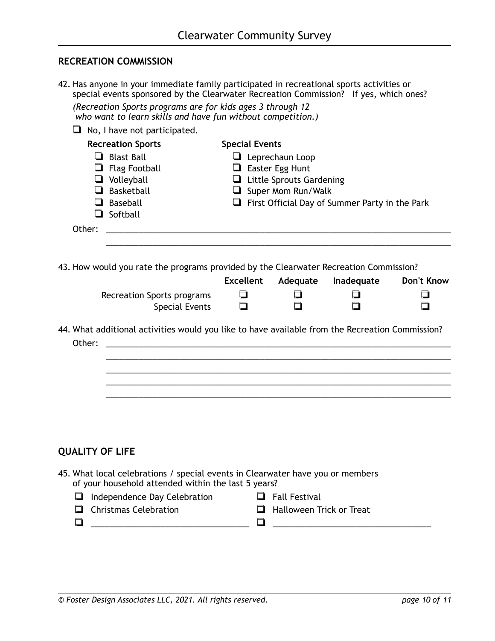#### **RECREATION COMMISSION**

42. Has anyone in your immediate family participated in recreational sports activities or special events sponsored by the Clearwater Recreation Commission? If yes, which ones?

| (Recreation Sports programs are for kids ages 3 through 12  |
|-------------------------------------------------------------|
| who want to learn skills and have fun without competition.) |

| ப      | No, I have not participated.                                                                    |                       |                                 |                                                       |                   |
|--------|-------------------------------------------------------------------------------------------------|-----------------------|---------------------------------|-------------------------------------------------------|-------------------|
|        | <b>Recreation Sports</b>                                                                        | <b>Special Events</b> |                                 |                                                       |                   |
|        | Blast Ball                                                                                      |                       | $\Box$ Leprechaun Loop          |                                                       |                   |
|        | $\Box$ Flag Football                                                                            |                       | $\Box$ Easter Egg Hunt          |                                                       |                   |
|        | $\Box$ Volleyball                                                                               |                       | $\Box$ Little Sprouts Gardening |                                                       |                   |
|        | Basketball                                                                                      |                       | Super Mom Run/Walk              |                                                       |                   |
|        | $\Box$ Baseball<br>Softball                                                                     |                       |                                 | $\Box$ First Official Day of Summer Party in the Park |                   |
| Other: |                                                                                                 |                       |                                 |                                                       |                   |
|        |                                                                                                 |                       |                                 |                                                       |                   |
|        |                                                                                                 |                       |                                 |                                                       |                   |
|        | 43. How would you rate the programs provided by the Clearwater Recreation Commission?           | <b>Excellent</b>      | Adequate                        | Inadequate                                            | <b>Don't Know</b> |
|        | Recreation Sports programs<br><b>Special Events</b>                                             | n                     |                                 |                                                       |                   |
| Other: | 44. What additional activities would you like to have available from the Recreation Commission? |                       |                                 |                                                       |                   |
|        |                                                                                                 |                       |                                 |                                                       |                   |
|        |                                                                                                 |                       |                                 |                                                       |                   |
|        |                                                                                                 |                       |                                 |                                                       |                   |

# **QUALITY OF LIFE**

- 45. What local celebrations / special events in Clearwater have you or members of your household attended within the last 5 years?
	- ❏ Independence Day Celebration ❏ Fall Festival
- - ❏ Christmas Celebration ❏ Halloween Trick or Treat
		-
	- ❏ \_\_\_\_\_\_\_\_\_\_\_\_\_\_\_\_\_\_\_\_\_\_\_\_\_\_\_\_\_\_\_\_\_\_ ❏ \_\_\_\_\_\_\_\_\_\_\_\_\_\_\_\_\_\_\_\_\_\_\_\_\_\_\_\_\_\_\_\_\_\_
- 

*© Foster Design Associates LLC, 2021. All rights reserved. page 10 of 11*